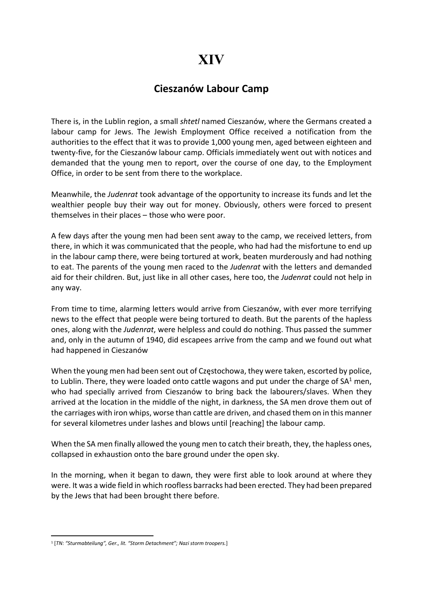## XIV

## Cieszanów Labour Camp

There is, in the Lublin region, a small shtetl named Cieszanów, where the Germans created a labour camp for Jews. The Jewish Employment Office received a notification from the authorities to the effect that it was to provide 1,000 young men, aged between eighteen and twenty-five, for the Cieszanów labour camp. Officials immediately went out with notices and demanded that the young men to report, over the course of one day, to the Employment Office, in order to be sent from there to the workplace.

Meanwhile, the Judenrat took advantage of the opportunity to increase its funds and let the wealthier people buy their way out for money. Obviously, others were forced to present themselves in their places – those who were poor.

A few days after the young men had been sent away to the camp, we received letters, from there, in which it was communicated that the people, who had had the misfortune to end up in the labour camp there, were being tortured at work, beaten murderously and had nothing to eat. The parents of the young men raced to the Judenrat with the letters and demanded aid for their children. But, just like in all other cases, here too, the Judenrat could not help in any way.

From time to time, alarming letters would arrive from Cieszanów, with ever more terrifying news to the effect that people were being tortured to death. But the parents of the hapless ones, along with the Judenrat, were helpless and could do nothing. Thus passed the summer and, only in the autumn of 1940, did escapees arrive from the camp and we found out what had happened in Cieszanów

When the young men had been sent out of Częstochowa, they were taken, escorted by police, to Lublin. There, they were loaded onto cattle wagons and put under the charge of  $SA<sup>1</sup>$  men, who had specially arrived from Cieszanów to bring back the labourers/slaves. When they arrived at the location in the middle of the night, in darkness, the SA men drove them out of the carriages with iron whips, worse than cattle are driven, and chased them on in this manner for several kilometres under lashes and blows until [reaching] the labour camp.

When the SA men finally allowed the young men to catch their breath, they, the hapless ones, collapsed in exhaustion onto the bare ground under the open sky.

In the morning, when it began to dawn, they were first able to look around at where they were. It was a wide field in which roofless barracks had been erected. They had been prepared by the Jews that had been brought there before.

<sup>&</sup>lt;sup>1</sup> [TN: "Sturmabteilung", Ger., lit. "Storm Detachment"; Nazi storm troopers.]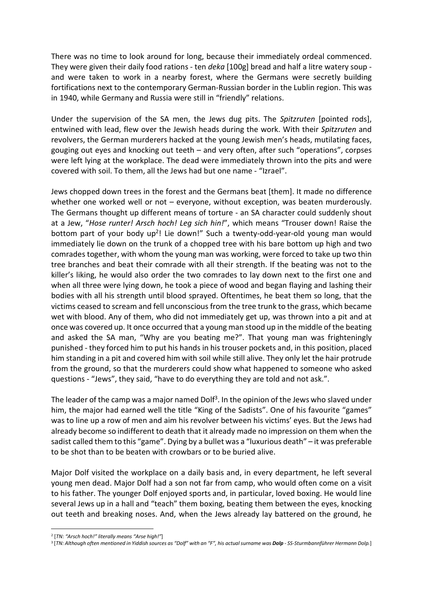There was no time to look around for long, because their immediately ordeal commenced. They were given their daily food rations - ten *deka* [100g] bread and half a litre watery soup and were taken to work in a nearby forest, where the Germans were secretly building fortifications next to the contemporary German-Russian border in the Lublin region. This was in 1940, while Germany and Russia were still in "friendly" relations.

Under the supervision of the SA men, the Jews dug pits. The Spitzruten [pointed rods], entwined with lead, flew over the Jewish heads during the work. With their Spitzruten and revolvers, the German murderers hacked at the young Jewish men's heads, mutilating faces, gouging out eyes and knocking out teeth – and very often, after such "operations", corpses were left lying at the workplace. The dead were immediately thrown into the pits and were covered with soil. To them, all the Jews had but one name - "Izrael".

Jews chopped down trees in the forest and the Germans beat [them]. It made no difference whether one worked well or not – everyone, without exception, was beaten murderously. The Germans thought up different means of torture - an SA character could suddenly shout at a Jew, "Hose runter! Arsch hoch! Leg sich hin!", which means "Trouser down! Raise the bottom part of your body up<sup>2</sup>! Lie down!" Such a twenty-odd-year-old young man would immediately lie down on the trunk of a chopped tree with his bare bottom up high and two comrades together, with whom the young man was working, were forced to take up two thin tree branches and beat their comrade with all their strength. If the beating was not to the killer's liking, he would also order the two comrades to lay down next to the first one and when all three were lying down, he took a piece of wood and began flaying and lashing their bodies with all his strength until blood sprayed. Oftentimes, he beat them so long, that the victims ceased to scream and fell unconscious from the tree trunk to the grass, which became wet with blood. Any of them, who did not immediately get up, was thrown into a pit and at once was covered up. It once occurred that a young man stood up in the middle of the beating and asked the SA man, "Why are you beating me?". That young man was frighteningly punished - they forced him to put his hands in his trouser pockets and, in this position, placed him standing in a pit and covered him with soil while still alive. They only let the hair protrude from the ground, so that the murderers could show what happened to someone who asked questions - "Jews", they said, "have to do everything they are told and not ask.".

The leader of the camp was a major named Dolf<sup>3</sup>. In the opinion of the Jews who slaved under him, the major had earned well the title "King of the Sadists". One of his favourite "games" was to line up a row of men and aim his revolver between his victims' eyes. But the Jews had already become so indifferent to death that it already made no impression on them when the sadist called them to this "game". Dying by a bullet was a "luxurious death" – it was preferable to be shot than to be beaten with crowbars or to be buried alive.

Major Dolf visited the workplace on a daily basis and, in every department, he left several young men dead. Major Dolf had a son not far from camp, who would often come on a visit to his father. The younger Dolf enjoyed sports and, in particular, loved boxing. He would line several Jews up in a hall and "teach" them boxing, beating them between the eyes, knocking out teeth and breaking noses. And, when the Jews already lay battered on the ground, he

<sup>&</sup>lt;sup>2</sup> [TN: "Arsch hoch!" literally means "Arse high!"]

<sup>&</sup>lt;sup>3</sup> [TN: Although often mentioned in Yiddish sources as "Dolf" with an "F", his actual surname was **Dolp** - SS-Sturmbannführer Hermann Dolp.]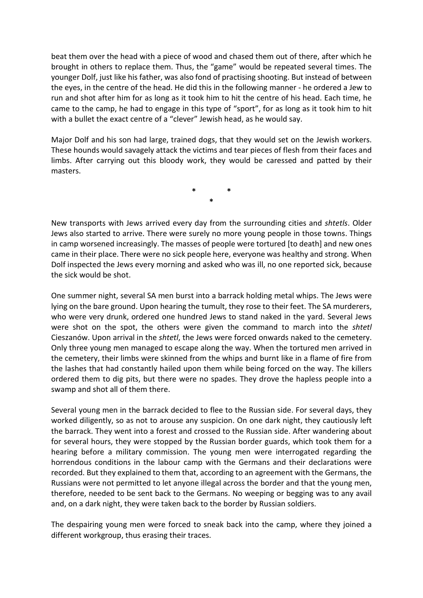beat them over the head with a piece of wood and chased them out of there, after which he brought in others to replace them. Thus, the "game" would be repeated several times. The younger Dolf, just like his father, was also fond of practising shooting. But instead of between the eyes, in the centre of the head. He did this in the following manner - he ordered a Jew to run and shot after him for as long as it took him to hit the centre of his head. Each time, he came to the camp, he had to engage in this type of "sport", for as long as it took him to hit with a bullet the exact centre of a "clever" Jewish head, as he would say.

Major Dolf and his son had large, trained dogs, that they would set on the Jewish workers. These hounds would savagely attack the victims and tear pieces of flesh from their faces and limbs. After carrying out this bloody work, they would be caressed and patted by their masters.

> \* \* \*

New transports with Jews arrived every day from the surrounding cities and shtetls. Older Jews also started to arrive. There were surely no more young people in those towns. Things in camp worsened increasingly. The masses of people were tortured [to death] and new ones came in their place. There were no sick people here, everyone was healthy and strong. When Dolf inspected the Jews every morning and asked who was ill, no one reported sick, because the sick would be shot.

One summer night, several SA men burst into a barrack holding metal whips. The Jews were lying on the bare ground. Upon hearing the tumult, they rose to their feet. The SA murderers, who were very drunk, ordered one hundred Jews to stand naked in the yard. Several Jews were shot on the spot, the others were given the command to march into the shtetl Cieszanów. Upon arrival in the shtetl, the Jews were forced onwards naked to the cemetery. Only three young men managed to escape along the way. When the tortured men arrived in the cemetery, their limbs were skinned from the whips and burnt like in a flame of fire from the lashes that had constantly hailed upon them while being forced on the way. The killers ordered them to dig pits, but there were no spades. They drove the hapless people into a swamp and shot all of them there.

Several young men in the barrack decided to flee to the Russian side. For several days, they worked diligently, so as not to arouse any suspicion. On one dark night, they cautiously left the barrack. They went into a forest and crossed to the Russian side. After wandering about for several hours, they were stopped by the Russian border guards, which took them for a hearing before a military commission. The young men were interrogated regarding the horrendous conditions in the labour camp with the Germans and their declarations were recorded. But they explained to them that, according to an agreement with the Germans, the Russians were not permitted to let anyone illegal across the border and that the young men, therefore, needed to be sent back to the Germans. No weeping or begging was to any avail and, on a dark night, they were taken back to the border by Russian soldiers.

The despairing young men were forced to sneak back into the camp, where they joined a different workgroup, thus erasing their traces.